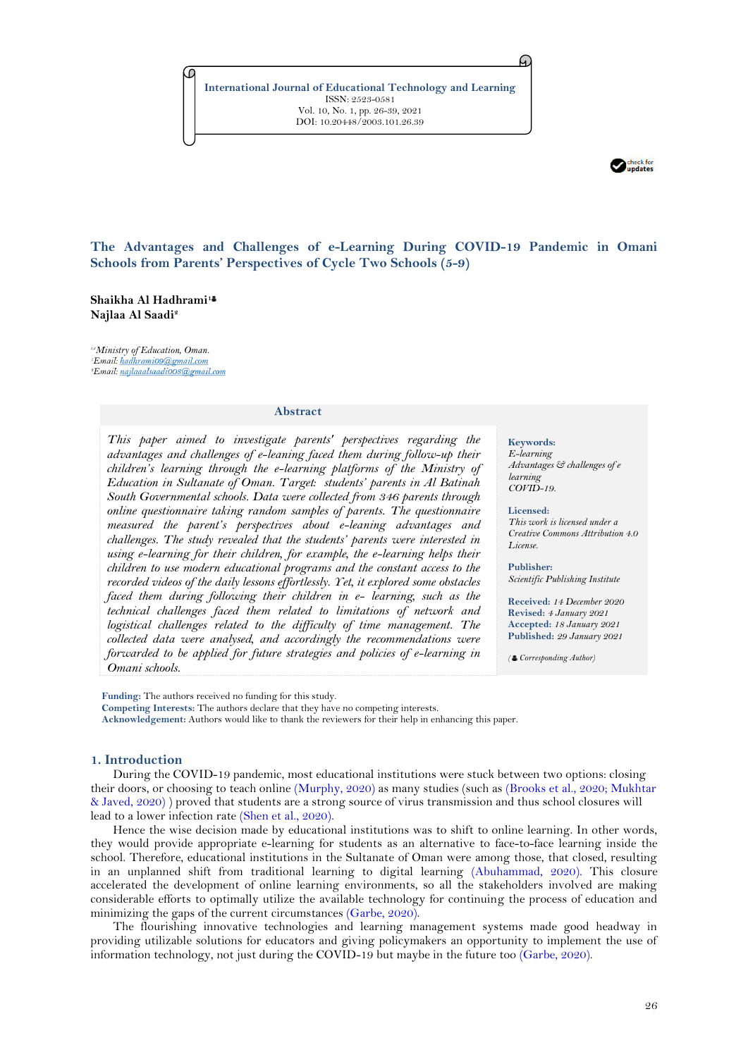**International Journal of Educational Technology and Learning** ISSN: 2523-0581 Vol. 10, No. 1, pp. 26-39, 2021 DOI: 10.20448/2003.101.26.39



# **The Advantages and Challenges of e-Learning During COVID-19 Pandemic in Omani Schools from Parents' Perspectives of Cycle Two Schools (5-9)**

# **Shaikha Al Hadhrami<sup>1</sup> Najlaa Al Saadi 2**

*1,2Ministry of Education, Oman.* 'Email: hadhrami09@gmail.com *Email:* najlaaalsaadi008@gmail.com

#### **Abstract**

*This paper aimed to investigate parents' perspectives regarding the advantages and challenges of e-leaning faced them during follow-up their children's learning through the e-learning platforms of the Ministry of Education in Sultanate of Oman. Target: students' parents in Al Batinah South Governmental schools. Data were collected from 346 parents through online questionnaire taking random samples of parents. The questionnaire measured the parent's perspectives about e-leaning advantages and challenges. The study revealed that the students' parents were interested in using e-learning for their children, for example, the e-learning helps their children to use modern educational programs and the constant access to the recorded videos of the daily lessons effortlessly. Yet, it explored some obstacles faced them during following their children in e- learning, such as the technical challenges faced them related to limitations of network and*  logistical challenges related to the difficulty of time management. The *collected data were analysed, and accordingly the recommendations were forwarded to be applied for future strategies and policies of e-learning in Omani schools.*

**Keywords:**

A.

*E-learning Advantages & challenges of e learning COVID-19.*

#### **Licensed:**

*This work is licensed under a Creative Commons Attribution 4.0 License.* 

### **Publisher:**

*Scientific Publishing Institute*

**Received:** *14 December 2020* **Revised:** *4 January 2021* **Accepted:** *18 January 2021* **Published:** *29 January 2021*

*( Corresponding Author)*

**Funding:** The authors received no funding for this study. **Competing Interests:** The authors declare that they have no competing interests. **Acknowledgement:** Authors would like to thank the reviewers for their help in enhancing this paper.

# **1. Introduction**

During the COVID-19 pandemic, most educational institutions were stuck between two options: closing their doors, or choosing to teach online [\(Murphy, 2020\)](#page-12-0) as many studies (such as [\(Brooks et al., 2020;](#page-12-1) [Mukhtar](#page-12-2)  [& Javed, 2020\)](#page-12-2) ) proved that students are a strong source of virus transmission and thus school closures will lead to a lower infection rate [\(Shen et al., 2020\)](#page-12-3).

Hence the wise decision made by educational institutions was to shift to online learning. In other words, they would provide appropriate e-learning for students as an alternative to face-to-face learning inside the school. Therefore, educational institutions in the Sultanate of Oman were among those, that closed, resulting in an unplanned shift from traditional learning to digital learning [\(Abuhammad, 2020\)](#page-12-4). This closure accelerated the development of online learning environments, so all the stakeholders involved are making considerable efforts to optimally utilize the available technology for continuing the process of education and minimizing the gaps of the current circumstances [\(Garbe, 2020\)](#page-12-5).

The flourishing innovative technologies and learning management systems made good headway in providing utilizable solutions for educators and giving policymakers an opportunity to implement the use of information technology, not just during the COVID-19 but maybe in the future too [\(Garbe, 2020\)](#page-12-5).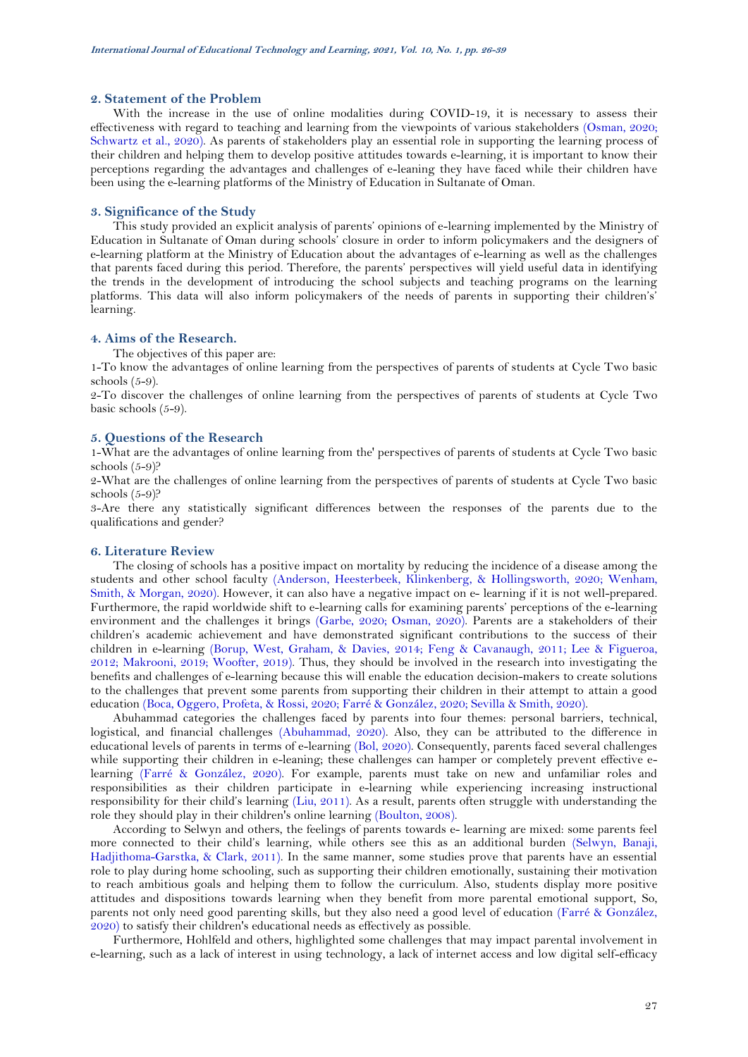# **2. Statement of the Problem**

With the increase in the use of online modalities during COVID-19, it is necessary to assess their effectiveness with regard to teaching and learning from the viewpoints of various stakeholders [\(Osman, 2020;](#page-12-6) [Schwartz et al., 2020\)](#page-12-7). As parents of stakeholders play an essential role in supporting the learning process of their children and helping them to develop positive attitudes towards e-learning, it is important to know their perceptions regarding the advantages and challenges of e-leaning they have faced while their children have been using the e-learning platforms of the Ministry of Education in Sultanate of Oman.

# **3. Significance of the Study**

This study provided an explicit analysis of parents' opinions of e-learning implemented by the Ministry of Education in Sultanate of Oman during schools' closure in order to inform policymakers and the designers of e-learning platform at the Ministry of Education about the advantages of e-learning as well as the challenges that parents faced during this period. Therefore, the parents' perspectives will yield useful data in identifying the trends in the development of introducing the school subjects and teaching programs on the learning platforms. This data will also inform policymakers of the needs of parents in supporting their children's' learning.

# **4. Aims of the Research.**

The objectives of this paper are:

1-To know the advantages of online learning from the perspectives of parents of students at Cycle Two basic schools (5-9).

2-To discover the challenges of online learning from the perspectives of parents of students at Cycle Two basic schools (5-9).

# **5. Questions of the Research**

1-What are the advantages of online learning from the' perspectives of parents of students at Cycle Two basic schools (5-9)?

2-What are the challenges of online learning from the perspectives of parents of students at Cycle Two basic schools  $(5-9)$ ?

3-Are there any statistically significant differences between the responses of the parents due to the qualifications and gender?

#### **6. Literature Review**

The closing of schools has a positive impact on mortality by reducing the incidence of a disease among the students and other school faculty [\(Anderson, Heesterbeek, Klinkenberg, & Hollingsworth, 2020;](#page-12-8) [Wenham,](#page-13-0)  [Smith, & Morgan, 2020\)](#page-13-0). However, it can also have a negative impact on e- learning if it is not well-prepared. Furthermore, the rapid worldwide shift to e-learning calls for examining parents' perceptions of the e-learning environment and the challenges it brings [\(Garbe, 2020;](#page-12-5) [Osman, 2020\)](#page-12-6). Parents are a stakeholders of their children's academic achievement and have demonstrated significant contributions to the success of their children in e-learning [\(Borup, West, Graham, & Davies, 2014;](#page-12-9) [Feng & Cavanaugh, 2011;](#page-12-10) [Lee & Figueroa,](#page-12-11)  [2012;](#page-12-11) [Makrooni, 2019;](#page-12-12) [Woofter, 2019\)](#page-13-1). Thus, they should be involved in the research into investigating the benefits and challenges of e-learning because this will enable the education decision-makers to create solutions to the challenges that prevent some parents from supporting their children in their attempt to attain a good education [\(Boca, Oggero, Profeta, & Rossi, 2020;](#page-12-13) [Farré & González, 2020;](#page-12-14) [Sevilla & Smith, 2020\)](#page-12-15).

Abuhammad categories the challenges faced by parents into four themes: personal barriers, technical, logistical, and financial challenges [\(Abuhammad, 2020\)](#page-12-4). Also, they can be attributed to the difference in educational levels of parents in terms of e-learning [\(Bol, 2020\)](#page-12-16). Consequently, parents faced several challenges while supporting their children in e-leaning; these challenges can hamper or completely prevent effective elearning [\(Farré & González, 2020\)](#page-12-14). For example, parents must take on new and unfamiliar roles and responsibilities as their children participate in e-learning while experiencing increasing instructional responsibility for their child's learning [\(Liu, 2011\)](#page-12-17). As a result, parents often struggle with understanding the role they should play in their children's online learning [\(Boulton, 2008\)](#page-12-18).

According to Selwyn and others, the feelings of parents towards e- learning are mixed: some parents feel more connected to their child's learning, while others see this as an additional burden [\(Selwyn, Banaji,](#page-12-19)  [Hadjithoma-Garstka, & Clark, 2011\)](#page-12-19). In the same manner, some studies prove that parents have an essential role to play during home schooling, such as supporting their children emotionally, sustaining their motivation to reach ambitious goals and helping them to follow the curriculum. Also, students display more positive attitudes and dispositions towards learning when they benefit from more parental emotional support, So, parents not only need good parenting skills, but they also need a good level of education [\(Farré & González,](#page-12-14)  [2020\)](#page-12-14) to satisfy their children's educational needs as effectively as possible.

Furthermore, Hohlfeld and others, highlighted some challenges that may impact parental involvement in e-learning, such as a lack of interest in using technology, a lack of internet access and low digital self-efficacy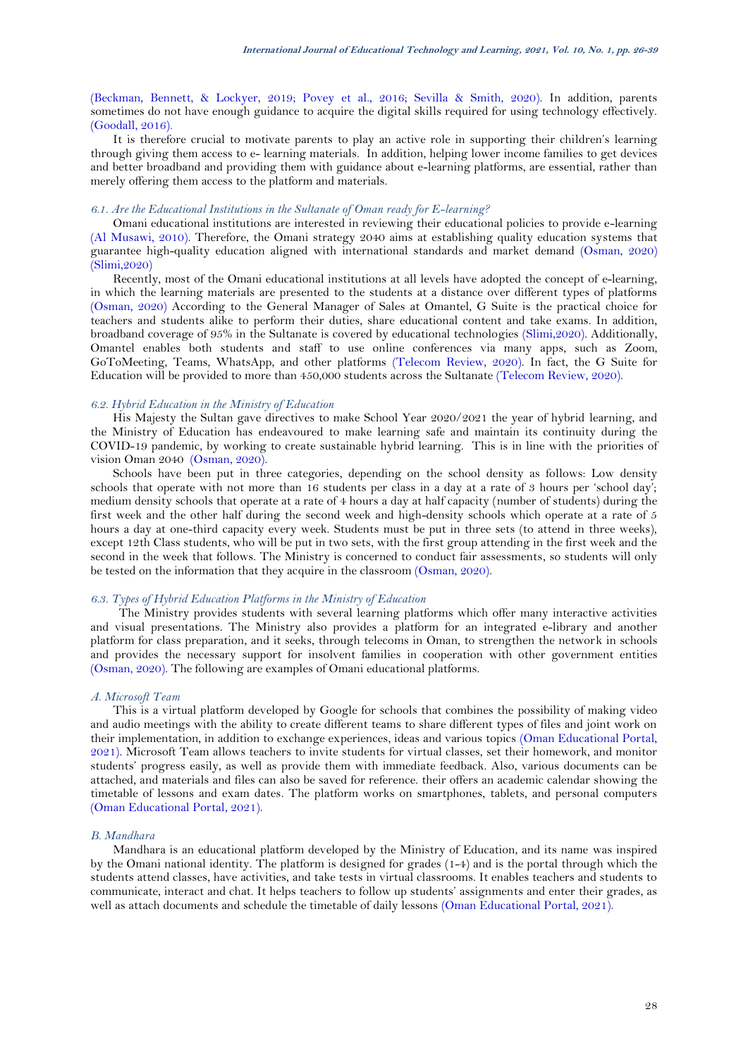[\(Beckman, Bennett, & Lockyer, 2019;](#page-12-20) [Povey et al., 2016;](#page-12-21) [Sevilla & Smith, 2020\)](#page-12-15). In addition, parents sometimes do not have enough guidance to acquire the digital skills required for using technology effectively. [\(Goodall, 2016\)](#page-12-22).

It is therefore crucial to motivate parents to play an active role in supporting their children's learning through giving them access to e- learning materials. In addition, helping lower income families to get devices and better broadband and providing them with guidance about e-learning platforms, are essential, rather than merely offering them access to the platform and materials.

### *6.1. Are the Educational Institutions in the Sultanate of Oman ready for E-learning?*

Omani educational institutions are interested in reviewing their educational policies to provide e-learning [\(Al Musawi, 2010\)](#page-12-23). Therefore, the Omani strategy 2040 aims at establishing quality education systems that guarantee high-quality education aligned with international standards and market demand [\(Osman, 2020\)](#page-12-6) (Slimi,2020)

Recently, most of the Omani educational institutions at all levels have adopted the concept of e-learning, in which the learning materials are presented to the students at a distance over different types of platforms [\(Osman, 2020\)](#page-12-6) According to the General Manager of Sales at Omantel, G Suite is the practical choice for teachers and students alike to perform their duties, share educational content and take exams. In addition, broadband coverage of 95% in the Sultanate is covered by educational technologies (Slimi,2020). Additionally, Omantel enables both students and staff to use online conferences via many apps, such as Zoom, GoToMeeting, Teams, WhatsApp, and other platforms [\(Telecom Review, 2020\)](#page-13-2). In fact, the G Suite for Education will be provided to more than 450,000 students across the Sultanate (Telecom Review, 2020).

#### *6.2. Hybrid Education in the Ministry of Education*

His Majesty the Sultan gave directives to make School Year 2020/2021 the year of hybrid learning, and the Ministry of Education has endeavoured to make learning safe and maintain its continuity during the COVID-19 pandemic, by working to create sustainable hybrid learning. This is in line with the priorities of vision Oman 2040 [\(Osman, 2020\)](#page-12-6).

Schools have been put in three categories, depending on the school density as follows: Low density schools that operate with not more than 16 students per class in a day at a rate of 3 hours per 'school day'; medium density schools that operate at a rate of 4 hours a day at half capacity (number of students) during the first week and the other half during the second week and high-density schools which operate at a rate of 5 hours a day at one-third capacity every week. Students must be put in three sets (to attend in three weeks), except 12th Class students, who will be put in two sets, with the first group attending in the first week and the second in the week that follows. The Ministry is concerned to conduct fair assessments, so students will only be tested on the information that they acquire in the classroom [\(Osman, 2020\)](#page-12-6).

# *6.3. Types of Hybrid Education Platforms in the Ministry of Education*

The Ministry provides students with several learning platforms which offer many interactive activities and visual presentations. The Ministry also provides a platform for an integrated e-library and another platform for class preparation, and it seeks, through telecoms in Oman, to strengthen the network in schools and provides the necessary support for insolvent families in cooperation with other government entities [\(Osman, 2020\)](#page-12-6). The following are examples of Omani educational platforms.

# *A. Microsoft Team*

This is a virtual platform developed by Google for schools that combines the possibility of making video and audio meetings with the ability to create different teams to share different types of files and joint work on their implementation, in addition to exchange experiences, ideas and various topics [\(Oman Educational Portal,](#page-12-24)  [2021\)](#page-12-24). Microsoft Team allows teachers to invite students for virtual classes, set their homework, and monitor students' progress easily, as well as provide them with immediate feedback. Also, various documents can be attached, and materials and files can also be saved for reference. their offers an academic calendar showing the timetable of lessons and exam dates. The platform works on smartphones, tablets, and personal computers [\(Oman Educational Portal, 2021\)](#page-12-24).

# *B. Mandhara*

Mandhara is an educational platform developed by the Ministry of Education, and its name was inspired by the Omani national identity. The platform is designed for grades (1-4) and is the portal through which the students attend classes, have activities, and take tests in virtual classrooms. It enables teachers and students to communicate, interact and chat. It helps teachers to follow up students' assignments and enter their grades, as well as attach documents and schedule the timetable of daily lessons [\(Oman Educational Portal, 2021\)](#page-12-24).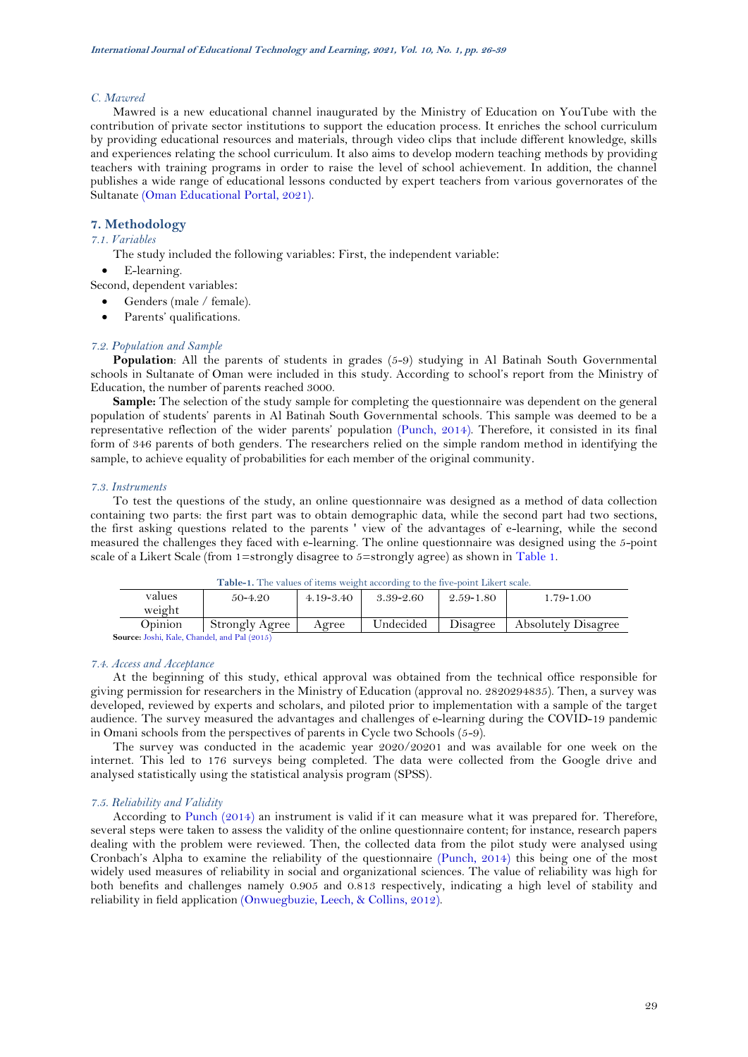### *C. Mawred*

Mawred is a new educational channel inaugurated by the Ministry of Education on YouTube with the contribution of private sector institutions to support the education process. It enriches the school curriculum by providing educational resources and materials, through video clips that include different knowledge, skills and experiences relating the school curriculum. It also aims to develop modern teaching methods by providing teachers with training programs in order to raise the level of school achievement. In addition, the channel publishes a wide range of educational lessons conducted by expert teachers from various governorates of the Sultanate [\(Oman Educational Portal,](#page-12-24) 2021).

# **7. Methodology**

*7.1. Variables*

The study included the following variables: First, the independent variable:

• E-learning.

Second, dependent variables:

Genders (male / female).

Parents' qualifications.

#### *7.2. Population and Sample*

**Population**: All the parents of students in grades (5-9) studying in Al Batinah South Governmental schools in Sultanate of Oman were included in this study. According to school's report from the Ministry of Education, the number of parents reached 3000.

**Sample:** The selection of the study sample for completing the questionnaire was dependent on the general population of students' parents in Al Batinah South Governmental schools. This sample was deemed to be a representative reflection of the wider parents' population [\(Punch, 2014\)](#page-12-25). Therefore, it consisted in its final form of 346 parents of both genders. The researchers relied on the simple random method in identifying the sample, to achieve equality of probabilities for each member of the original community.

#### *7.3. Instruments*

To test the questions of the study, an online questionnaire was designed as a method of data collection containing two parts: the first part was to obtain demographic data, while the second part had two sections, the first asking questions related to the parents ' view of the advantages of e-learning, while the second measured the challenges they faced with e-learning. The online questionnaire was designed using the 5-point scale of a Likert Scale (from 1=strongly disagree to  $5=$ strongly agree) as shown in [Table 1.](#page-3-0)

<span id="page-3-0"></span>

| values                                              | $50 - 4.20$    | $4.19 - 3.40$ | 3.39-2.60 | 2.59-1.80 | 1.79-1.00                  |  |  |  |  |
|-----------------------------------------------------|----------------|---------------|-----------|-----------|----------------------------|--|--|--|--|
| weight                                              |                |               |           |           |                            |  |  |  |  |
| Opinion                                             | Strongly Agree | Agree         | Undecided | Disagree  | <b>Absolutely Disagree</b> |  |  |  |  |
| <b>Source:</b> Joshi, Kale, Chandel, and Pal (2015) |                |               |           |           |                            |  |  |  |  |

**Table-1.** The values of items weight according to the five-point Likert scale.

*7.4. Access and Acceptance*

At the beginning of this study, ethical approval was obtained from the technical office responsible for giving permission for researchers in the Ministry of Education (approval no. 2820294835). Then, a survey was developed, reviewed by experts and scholars, and piloted prior to implementation with a sample of the target audience. The survey measured the advantages and challenges of e-learning during the COVID-19 pandemic in Omani schools from the perspectives of parents in Cycle two Schools (5-9).

The survey was conducted in the academic year 2020/20201 and was available for one week on the internet. This led to 176 surveys being completed. The data were collected from the Google drive and analysed statistically using the statistical analysis program (SPSS).

# *7.5. Reliability and Validity*

According to [Punch \(2014\)](#page-12-25) an instrument is valid if it can measure what it was prepared for. Therefore, several steps were taken to assess the validity of the online questionnaire content; for instance, research papers dealing with the problem were reviewed. Then, the collected data from the pilot study were analysed using Cronbach's Alpha to examine the reliability of the questionnaire [\(Punch, 2014\)](#page-12-25) this being one of the most widely used measures of reliability in social and organizational sciences. The value of reliability was high for both benefits and challenges namely 0.905 and 0.813 respectively, indicating a high level of stability and reliability in field application [\(Onwuegbuzie, Leech, & Collins, 2012\)](#page-12-27).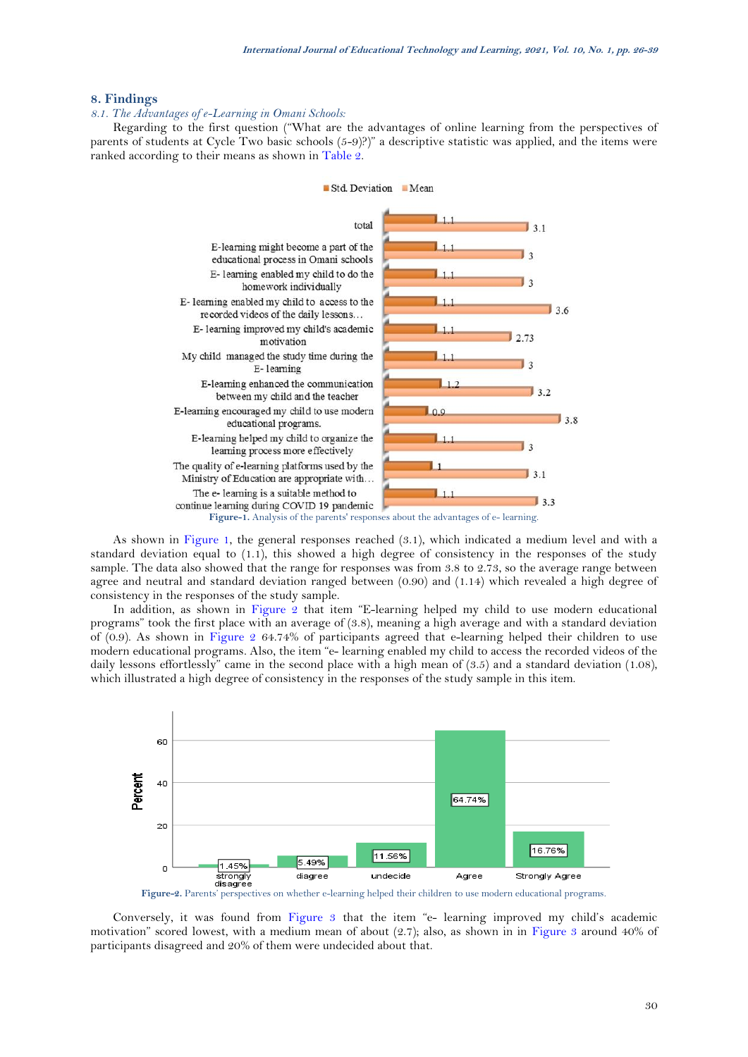# **8. Findings**

# *8.1. The Advantages of e-Learning in Omani Schools:*

Regarding to the first question ("What are the advantages of online learning from the perspectives of parents of students at Cycle Two basic schools (5-9)?)" a descriptive statistic was applied, and the items were ranked according to their means as shown in [Table 2.](#page-5-0) 

# Std. Deviation Mean



<span id="page-4-0"></span>As shown in [Figure 1,](#page-4-0) the general responses reached (3.1), which indicated a medium level and with a standard deviation equal to (1.1), this showed a high degree of consistency in the responses of the study sample. The data also showed that the range for responses was from 3.8 to 2.73, so the average range between agree and neutral and standard deviation ranged between (0.90) and (1.14) which revealed a high degree of consistency in the responses of the study sample.

In addition, as shown in [Figure 2](#page-4-1) that item "E-learning helped my child to use modern educational programs" took the first place with an average of (3.8), meaning a high average and with a standard deviation of (0.9). As shown in [Figure 2](#page-4-1) 64.74% of participants agreed that e-learning helped their children to use modern educational programs. Also, the item "e- learning enabled my child to access the recorded videos of the daily lessons effortlessly" came in the second place with a high mean of (3.5) and a standard deviation (1.08), which illustrated a high degree of consistency in the responses of the study sample in this item.



**Figure-2.** Parents' perspectives on whether e-learning helped their children to use modern educational programs.

<span id="page-4-1"></span>Conversely, it was found from [Figure 3](#page-5-1) that the item "e- learning improved my child's academic motivation" scored lowest, with a medium mean of about (2.7); also, as shown in in [Figure 3](#page-5-1) around 40% of participants disagreed and 20% of them were undecided about that.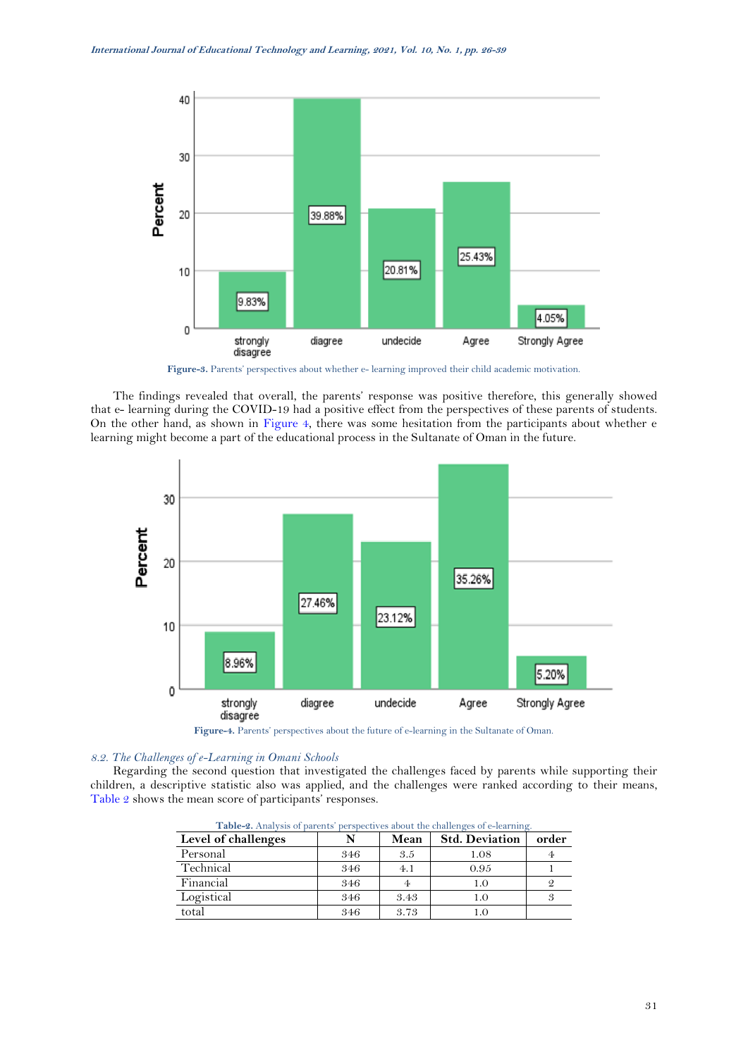

**Figure-3.** Parents' perspectives about whether e- learning improved their child academic motivation.

<span id="page-5-1"></span>The findings revealed that overall, the parents' response was positive therefore, this generally showed that e- learning during the COVID-19 had a positive effect from the perspectives of these parents of students. On the other hand, as shown in [Figure 4,](#page-5-2) there was some hesitation from the participants about whether e learning might become a part of the educational process in the Sultanate of Oman in the future.



**Figure-4.** Parents' perspectives about the future of e-learning in the Sultanate of Oman.

# <span id="page-5-2"></span>*8.2. The Challenges of e-Learning in Omani Schools*

<span id="page-5-0"></span>Regarding the second question that investigated the challenges faced by parents while supporting their children, a descriptive statistic also was applied, and the challenges were ranked according to their means, [Table 2](#page-5-0) shows the mean score of participants' responses.

| Level of challenges |     | Mean | <b>Std. Deviation</b> | order |  |  |  |  |  |
|---------------------|-----|------|-----------------------|-------|--|--|--|--|--|
| Personal            | 346 | 3.5  | 1.08                  |       |  |  |  |  |  |
| Technical           | 346 | 4.1  | 0.95                  |       |  |  |  |  |  |
| Financial           | 346 |      | 1.0                   |       |  |  |  |  |  |
| Logistical          | 346 | 3.43 | 1.0                   |       |  |  |  |  |  |
| total               | 346 | 3.73 |                       |       |  |  |  |  |  |

**Table-2.** Analysis of parents' perspectives about the challenges of e-learning.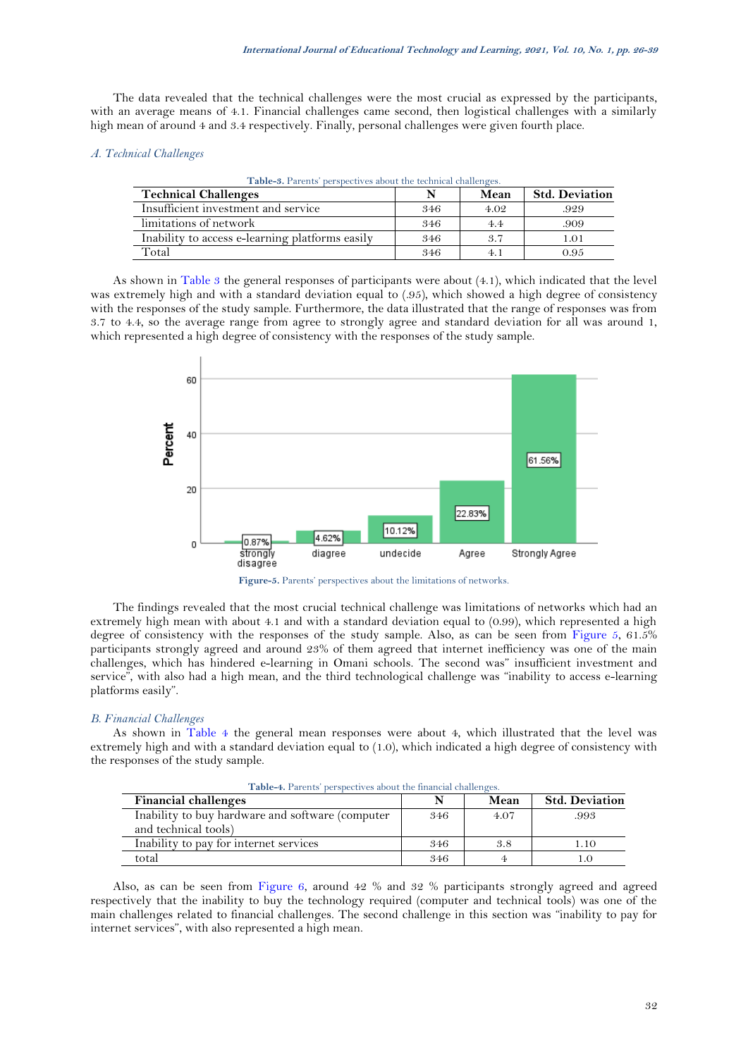The data revealed that the technical challenges were the most crucial as expressed by the participants, with an average means of 4.1. Financial challenges came second, then logistical challenges with a similarly high mean of around 4 and 3.4 respectively. Finally, personal challenges were given fourth place.

### <span id="page-6-0"></span>*A. Technical Challenges*

| <b>Table-3.</b> Parents' perspectives about the technical challenges. |     |      |                       |  |  |  |  |  |  |
|-----------------------------------------------------------------------|-----|------|-----------------------|--|--|--|--|--|--|
| <b>Technical Challenges</b>                                           |     | Mean | <b>Std. Deviation</b> |  |  |  |  |  |  |
| Insufficient investment and service                                   | 346 | 4.02 | .929                  |  |  |  |  |  |  |
| limitations of network                                                | 346 | 4.4  | .909                  |  |  |  |  |  |  |
| Inability to access e-learning platforms easily                       | 346 | 3.7  | 1.01                  |  |  |  |  |  |  |
| Total                                                                 | 346 | 4. 1 | 0.95                  |  |  |  |  |  |  |
|                                                                       |     |      |                       |  |  |  |  |  |  |

**Table-3.** Parents' perspectives about the technical challenges.

As shown in [Table 3](#page-6-0) the general responses of participants were about (4.1), which indicated that the level was extremely high and with a standard deviation equal to (.95), which showed a high degree of consistency with the responses of the study sample. Furthermore, the data illustrated that the range of responses was from 3.7 to 4.4, so the average range from agree to strongly agree and standard deviation for all was around 1, which represented a high degree of consistency with the responses of the study sample.





<span id="page-6-1"></span>The findings revealed that the most crucial technical challenge was limitations of networks which had an extremely high mean with about 4.1 and with a standard deviation equal to (0.99), which represented a high degree of consistency with the responses of the study sample. Also, as can be seen from [Figure 5,](#page-6-1) 61.5% participants strongly agreed and around 23% of them agreed that internet inefficiency was one of the main challenges, which has hindered e-learning in Omani schools. The second was" insufficient investment and service", with also had a high mean, and the third technological challenge was "inability to access e-learning platforms easily".

# *B. Financial Challenges*

As shown in [Table 4](#page-6-2) the general mean responses were about 4, which illustrated that the level was extremely high and with a standard deviation equal to (1.0), which indicated a high degree of consistency with the responses of the study sample.

<span id="page-6-2"></span>

| <b>Financial challenges</b>                                              |     | Mean | <b>Std. Deviation</b> |
|--------------------------------------------------------------------------|-----|------|-----------------------|
| Inability to buy hardware and software (computer<br>and technical tools) | 346 | 4.07 | .993                  |
| Inability to pay for internet services                                   | 346 | 3.8  | 1.10                  |
| total                                                                    | 346 |      |                       |

**Table-4.** Parents' perspectives about the financial challenges.

Also, as can be seen from [Figure 6,](#page-7-0) around 42 % and 32 % participants strongly agreed and agreed respectively that the inability to buy the technology required (computer and technical tools) was one of the main challenges related to financial challenges. The second challenge in this section was "inability to pay for internet services", with also represented a high mean.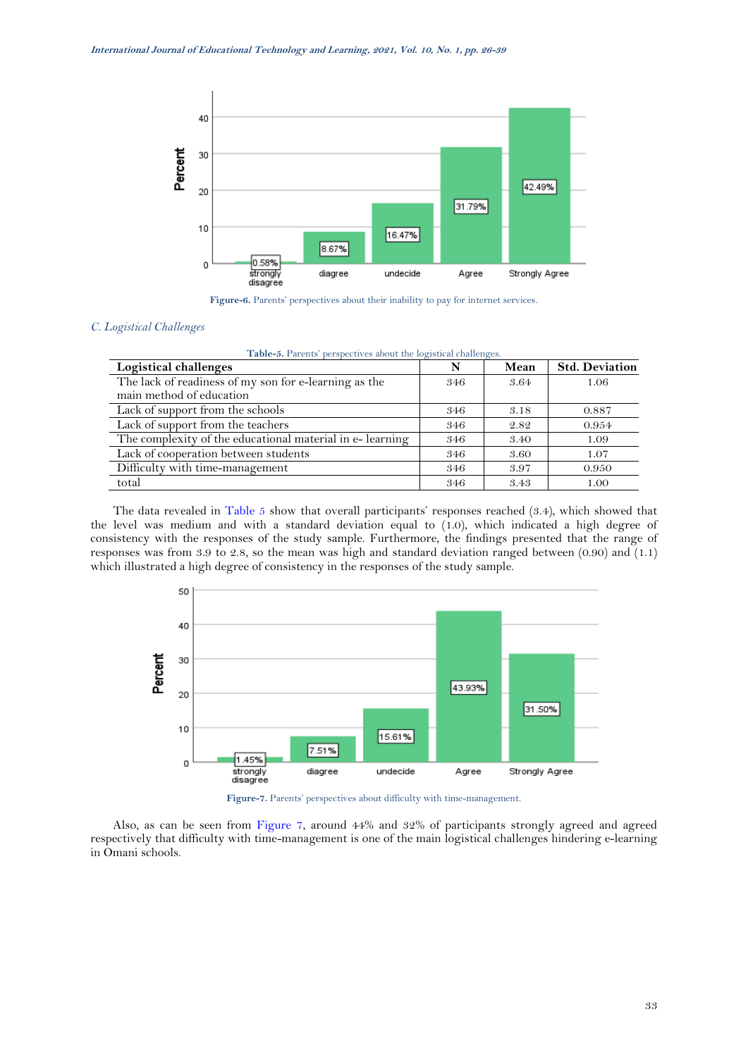

Figure-6. Parents' perspectives about their inability to pay for internet services.

# <span id="page-7-1"></span><span id="page-7-0"></span>*C. Logistical Challenges*

| Table-5. Parents' perspectives about the logistical challenges. |  |  |  |  |
|-----------------------------------------------------------------|--|--|--|--|
|-----------------------------------------------------------------|--|--|--|--|

| Logistical challenges                                    | N   | Mean | <b>Std. Deviation</b> |
|----------------------------------------------------------|-----|------|-----------------------|
| The lack of readiness of my son for e-learning as the    | 346 | 3.64 | 1.06                  |
| main method of education                                 |     |      |                       |
| Lack of support from the schools                         | 346 | 3.18 | 0.887                 |
| Lack of support from the teachers                        | 346 | 2.82 | 0.954                 |
| The complexity of the educational material in e-learning | 346 | 3.40 | 1.09                  |
| Lack of cooperation between students                     | 346 | 3.60 | 1.07                  |
| Difficulty with time-management                          | 346 | 3.97 | 0.950                 |
| total                                                    | 346 | 3.43 | 1.00                  |

The data revealed in [Table 5](#page-7-1) show that overall participants' responses reached (3.4), which showed that the level was medium and with a standard deviation equal to (1.0), which indicated a high degree of consistency with the responses of the study sample. Furthermore, the findings presented that the range of responses was from 3.9 to 2.8, so the mean was high and standard deviation ranged between (0.90) and (1.1) which illustrated a high degree of consistency in the responses of the study sample.



**Figure-7.** Parents' perspectives about difficulty with time-management.

<span id="page-7-2"></span>Also, as can be seen from [Figure 7,](#page-7-2) around 44% and 32% of participants strongly agreed and agreed respectively that difficulty with time-management is one of the main logistical challenges hindering e-learning in Omani schools.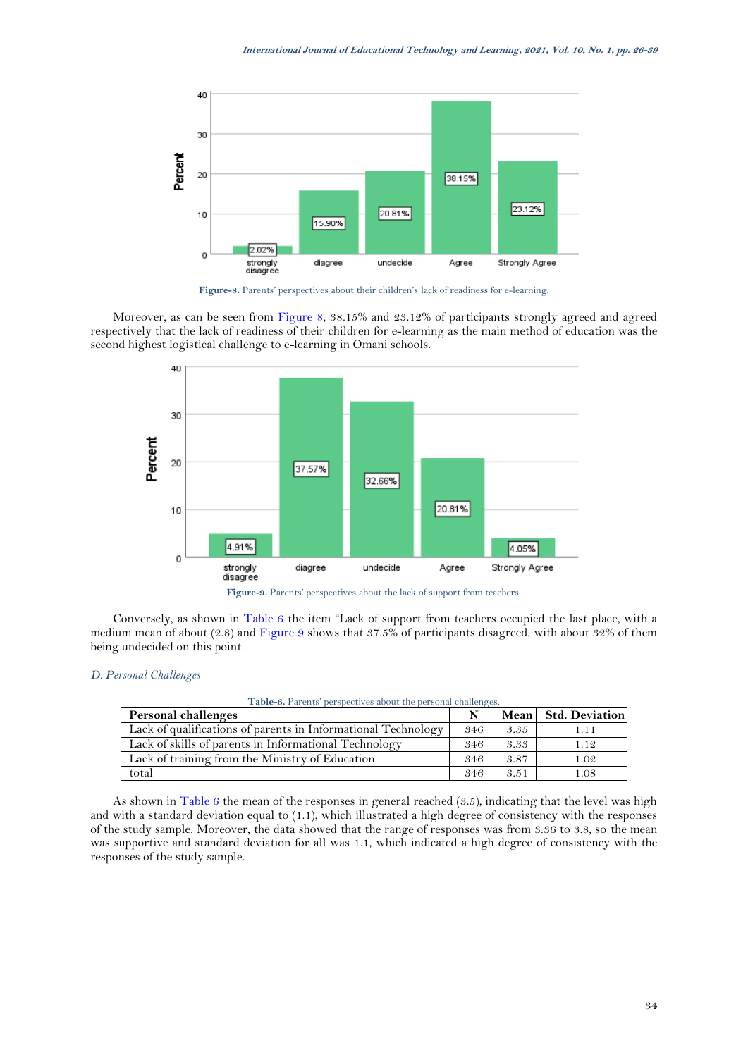

**Figure-8.** Parents' perspectives about their children's lack of readiness for e-learning.

<span id="page-8-0"></span>Moreover, as can be seen from [Figure 8,](#page-8-0) 38.15% and 23.12% of participants strongly agreed and agreed respectively that the lack of readiness of their children for e-learning as the main method of education was the second highest logistical challenge to e-learning in Omani schools.



<span id="page-8-2"></span>Conversely, as shown in [Table 6](#page-8-1) the item "Lack of support from teachers occupied the last place, with a medium mean of about (2.8) and [Figure 9](#page-8-2) shows that 37.5% of participants disagreed, with about 32% of them being undecided on this point.

# <span id="page-8-1"></span>*D. Personal Challenges*

#### **Table-6.** Parents' perspectives about the personal challenges.

| Personal challenges                                           |     |      | Mean Std. Deviation |
|---------------------------------------------------------------|-----|------|---------------------|
| Lack of qualifications of parents in Informational Technology | 346 | 3.35 | 1.11                |
| Lack of skills of parents in Informational Technology         | 346 | 3.33 | 1.12                |
| Lack of training from the Ministry of Education               | 346 | 3.87 | 1.02                |
| total                                                         | 346 | 3.51 | l.08                |

As shown in [Table 6](#page-8-1) the mean of the responses in general reached (3.5), indicating that the level was high and with a standard deviation equal to (1.1), which illustrated a high degree of consistency with the responses of the study sample. Moreover, the data showed that the range of responses was from 3.36 to 3.8, so the mean was supportive and standard deviation for all was 1.1, which indicated a high degree of consistency with the responses of the study sample.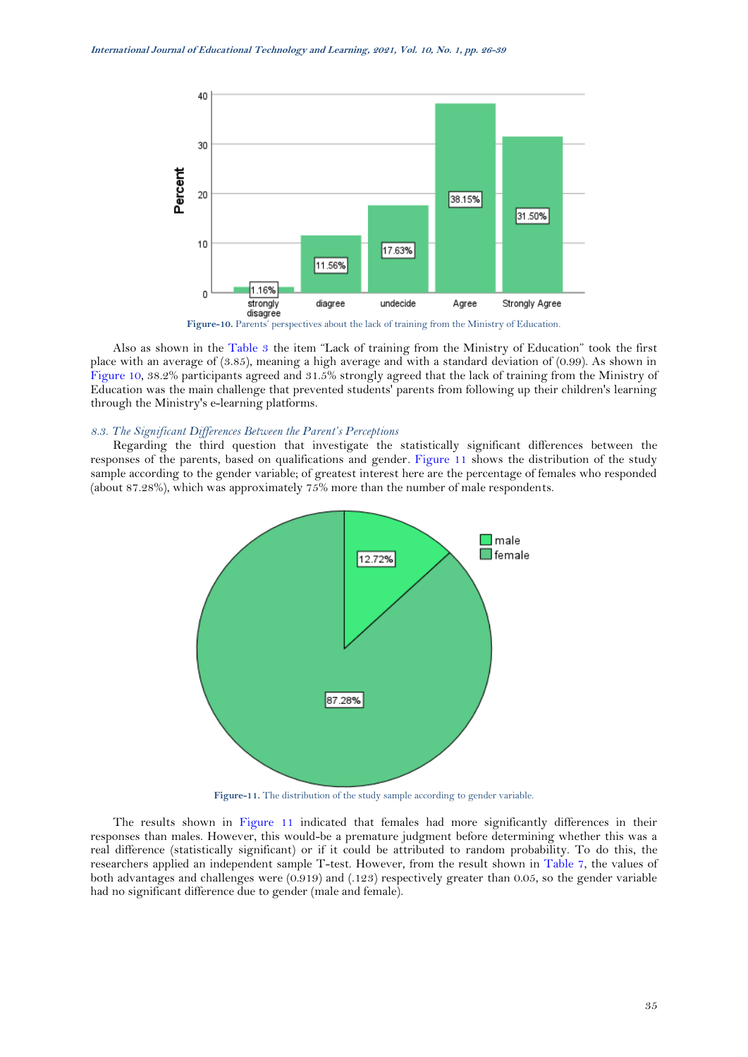

<span id="page-9-0"></span>Also as shown in the [Table 3](#page-6-0) the item "Lack of training from the Ministry of Education" took the first place with an average of (3.85), meaning a high average and with a standard deviation of (0.99). As shown in [Figure 10,](#page-9-0) 38.2% participants agreed and 31.5% strongly agreed that the lack of training from the Ministry of Education was the main challenge that prevented students' parents from following up their children's learning through the Ministry's e-learning platforms.

# *8.3. The Significant Differences Between the Parent's Perceptions*

Regarding the third question that investigate the statistically significant differences between the responses of the parents, based on qualifications and gender*.* [Figure 11](#page-9-1) shows the distribution of the study sample according to the gender variable; of greatest interest here are the percentage of females who responded (about 87.28%), which was approximately 75% more than the number of male respondents.



Figure-11. The distribution of the study sample according to gender variable.

<span id="page-9-2"></span><span id="page-9-1"></span>The results shown in [Figure 11](#page-9-1) indicated that females had more significantly differences in their responses than males. However, this would-be a premature judgment before determining whether this was a real difference (statistically significant) or if it could be attributed to random probability. To do this, the researchers applied an independent sample T-test. However, from the result shown in [Table 7,](#page-9-2) the values of both advantages and challenges were (0.919) and (.123) respectively greater than 0.05, so the gender variable had no significant difference due to gender (male and female).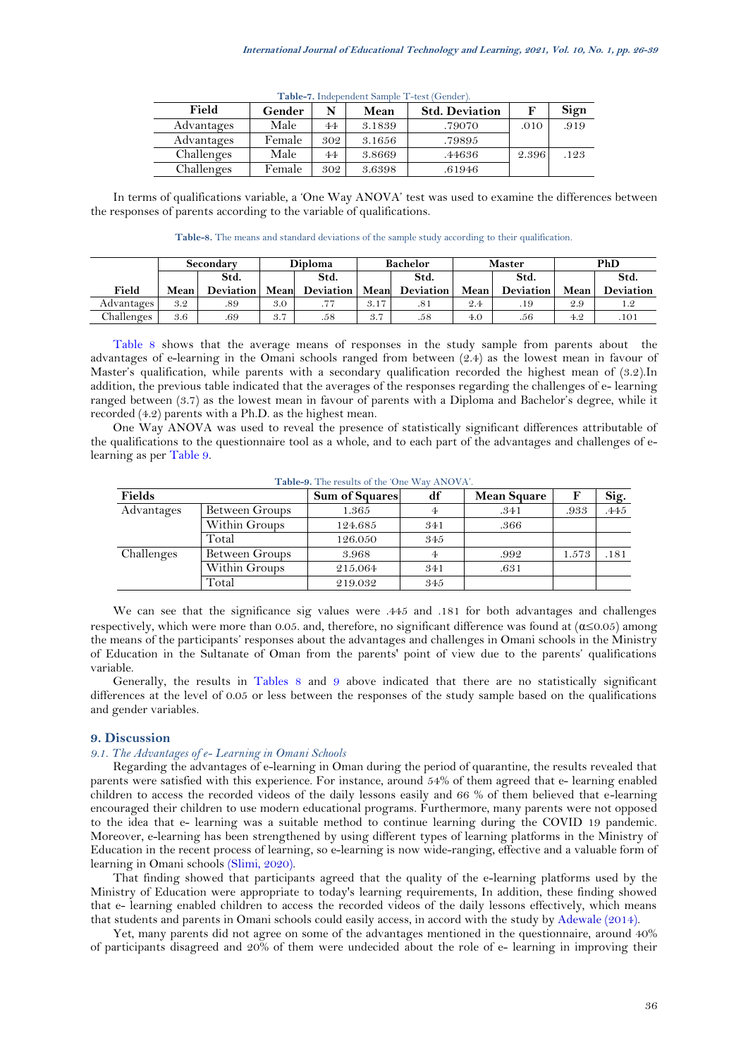| <b>THAT IT HURDEN CHAIRD AND THE CONTRACT</b> |        |     |        |                       |       |      |  |  |  |
|-----------------------------------------------|--------|-----|--------|-----------------------|-------|------|--|--|--|
| Field                                         | Gender | N   | Mean   | <b>Std. Deviation</b> |       | Sign |  |  |  |
| Advantages                                    | Male   | 44  | 3.1839 | .79070                | .010  | .919 |  |  |  |
| Advantages                                    | Female | 302 | 3.1656 | .79895                |       |      |  |  |  |
| Challenges                                    | Male   | 44  | 3.8669 | .44636                | 2.396 | .123 |  |  |  |
| Challenges                                    | Female | 302 | 3.6398 | .61946                |       |      |  |  |  |

**Table-7.** Independent Sample T-test (Gender).

In terms of qualifications variable, a 'One Way ANOVA' test was used to examine the differences between the responses of parents according to the variable of qualifications.

**Table-8.** The means and standard deviations of the sample study according to their qualification.

<span id="page-10-0"></span>

|                         | Secondary |      | <b>Diploma</b> |                            | <b>Bachelor</b> |                  | <b>Master</b> |           |      | PhD       |
|-------------------------|-----------|------|----------------|----------------------------|-----------------|------------------|---------------|-----------|------|-----------|
|                         |           | Std. |                | Std.                       |                 | Std.             |               | Std.      |      | Std.      |
| Field                   | Mean      |      |                | Deviation   Mean Deviation | Mean            | <b>Deviation</b> | Mean          | Deviation | Mean | Deviation |
| Advantages <sup>1</sup> | 3.2       | .89  | 3.0            | .77                        | 3.17            | .81              | 2.4           | .19       | 2.9  |           |
| Challenges              | 3.6       | .69  | 3.7            | .58                        | 3.7             | .58              | 4.0           | .56       | 4.2  | .101      |

[Table 8](#page-10-0) shows that the average means of responses in the study sample from parents about the advantages of e-learning in the Omani schools ranged from between (2.4) as the lowest mean in favour of Master's qualification, while parents with a secondary qualification recorded the highest mean of (3.2).In addition, the previous table indicated that the averages of the responses regarding the challenges of e- learning ranged between (3.7) as the lowest mean in favour of parents with a Diploma and Bachelor's degree, while it recorded (4.2) parents with a Ph.D. as the highest mean.

One Way ANOVA was used to reveal the presence of statistically significant differences attributable of the qualifications to the questionnaire tool as a whole, and to each part of the advantages and challenges of elearning as per [Table](#page-10-1) 9.

<span id="page-10-1"></span>

| Fields     |                | <b>Sum of Squares</b> | df  | <b>Mean Square</b> |       | Sig. |
|------------|----------------|-----------------------|-----|--------------------|-------|------|
| Advantages | Between Groups | 1.365                 |     | .341               | .933  | .445 |
|            | Within Groups  | 124.685               | 341 | .366               |       |      |
|            | Total          | 126.050               | 345 |                    |       |      |
| Challenges | Between Groups | 3.968                 |     | .992               | 1.573 | .181 |
|            | Within Groups  | 215.064               | 341 | .631               |       |      |
|            | Total          | 219.032               | 345 |                    |       |      |

**Table-9.** The results of the 'One Way ANOVA'.

We can see that the significance sig values were .445 and .181 for both advantages and challenges respectively, which were more than 0.05. and, therefore, no significant difference was found at (α≤0.05) among the means of the participants' responses about the advantages and challenges in Omani schools in the Ministry of Education in the Sultanate of Oman from the parents' point of view due to the parents' qualifications variable.

Generally, the results in [Tables](#page-10-0) 8 and [9](#page-10-1) above indicated that there are no statistically significant differences at the level of 0.05 or less between the responses of the study sample based on the qualifications and gender variables.

### **9. Discussion**

#### *9.1. The Advantages of e- Learning in Omani Schools*

Regarding the advantages of e-learning in Oman during the period of quarantine, the results revealed that parents were satisfied with this experience. For instance, around 54% of them agreed that e- learning enabled children to access the recorded videos of the daily lessons easily and 66 % of them believed that e-learning encouraged their children to use modern educational programs. Furthermore, many parents were not opposed to the idea that e- learning was a suitable method to continue learning during the COVID 19 pandemic. Moreover, e-learning has been strengthened by using different types of learning platforms in the Ministry of Education in the recent process of learning, so e-learning is now wide-ranging, effective and a valuable form of learning in Omani schools [\(Slimi, 2020\)](#page-12-28).

That finding showed that participants agreed that the quality of the e-learning platforms used by the Ministry of Education were appropriate to today's learning requirements, In addition, these finding showed that e- learning enabled children to access the recorded videos of the daily lessons effectively, which means that students and parents in Omani schools could easily access, in accord with the study by [Adewale \(2014\)](#page-12-29).

Yet, many parents did not agree on some of the advantages mentioned in the questionnaire, around 40% of participants disagreed and 20% of them were undecided about the role of e- learning in improving their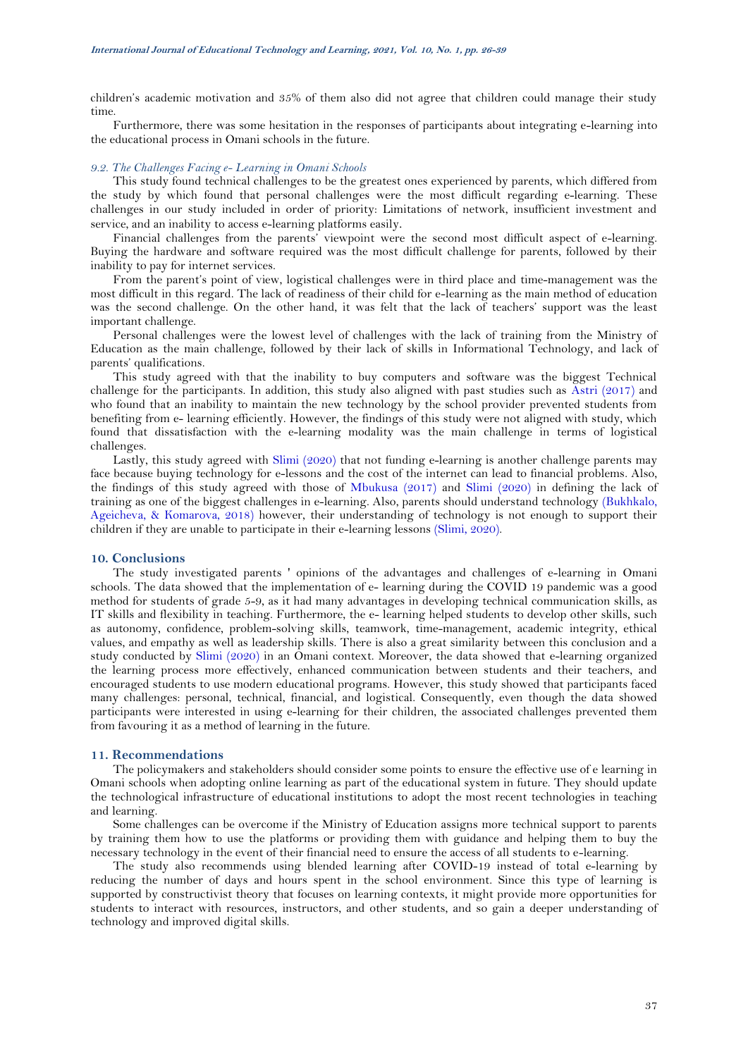children's academic motivation and 35% of them also did not agree that children could manage their study time.

Furthermore, there was some hesitation in the responses of participants about integrating e-learning into the educational process in Omani schools in the future.

#### *9.2. The Challenges Facing e- Learning in Omani Schools*

This study found technical challenges to be the greatest ones experienced by parents, which differed from the study by which found that personal challenges were the most difficult regarding e-learning. These challenges in our study included in order of priority: Limitations of network, insufficient investment and service, and an inability to access e-learning platforms easily.

Financial challenges from the parents' viewpoint were the second most difficult aspect of e-learning. Buying the hardware and software required was the most difficult challenge for parents, followed by their inability to pay for internet services.

From the parent's point of view, logistical challenges were in third place and time-management was the most difficult in this regard. The lack of readiness of their child for e-learning as the main method of education was the second challenge. On the other hand, it was felt that the lack of teachers' support was the least important challenge.

Personal challenges were the lowest level of challenges with the lack of training from the Ministry of Education as the main challenge, followed by their lack of skills in Informational Technology, and lack of parents' qualifications.

This study agreed with that the inability to buy computers and software was the biggest Technical challenge for the participants. In addition, this study also aligned with past studies such as [Astri \(2017\)](#page-12-30) and who found that an inability to maintain the new technology by the school provider prevented students from benefiting from e- learning efficiently. However, the findings of this study were not aligned with study, which found that dissatisfaction with the e-learning modality was the main challenge in terms of logistical challenges.

Lastly, this study agreed with [Slimi \(2020\)](#page-12-28) that not funding e-learning is another challenge parents may face because buying technology for e-lessons and the cost of the internet can lead to financial problems. Also, the findings of this study agreed with those of [Mbukusa \(2017\)](#page-12-31) and [Slimi \(2020\)](#page-12-28) in defining the lack of training as one of the biggest challenges in e-learning. Also, parents should understand technology [\(Bukhkalo,](#page-12-32)  [Ageicheva, & Komarova, 2018\)](#page-12-32) however, their understanding of technology is not enough to support their children if they are unable to participate in their e-learning lessons [\(Slimi, 2020\)](#page-12-28).

# **10. Conclusions**

The study investigated parents ' opinions of the advantages and challenges of e-learning in Omani schools. The data showed that the implementation of e- learning during the COVID 19 pandemic was a good method for students of grade 5-9, as it had many advantages in developing technical communication skills, as IT skills and flexibility in teaching. Furthermore, the e- learning helped students to develop other skills, such as autonomy, confidence, problem-solving skills, teamwork, time-management, academic integrity, ethical values, and empathy as well as leadership skills. There is also a great similarity between this conclusion and a study conducted by [Slimi \(2020\)](#page-12-28) in an Omani context. Moreover, the data showed that e-learning organized the learning process more effectively, enhanced communication between students and their teachers, and encouraged students to use modern educational programs. However, this study showed that participants faced many challenges: personal, technical, financial, and logistical. Consequently, even though the data showed participants were interested in using e-learning for their children, the associated challenges prevented them from favouring it as a method of learning in the future.

## **11. Recommendations**

The policymakers and stakeholders should consider some points to ensure the effective use of e learning in Omani schools when adopting online learning as part of the educational system in future. They should update the technological infrastructure of educational institutions to adopt the most recent technologies in teaching and learning.

Some challenges can be overcome if the Ministry of Education assigns more technical support to parents by training them how to use the platforms or providing them with guidance and helping them to buy the necessary technology in the event of their financial need to ensure the access of all students to e-learning.

The study also recommends using blended learning after COVID-19 instead of total e-learning by reducing the number of days and hours spent in the school environment. Since this type of learning is supported by constructivist theory that focuses on learning contexts, it might provide more opportunities for students to interact with resources, instructors, and other students, and so gain a deeper understanding of technology and improved digital skills.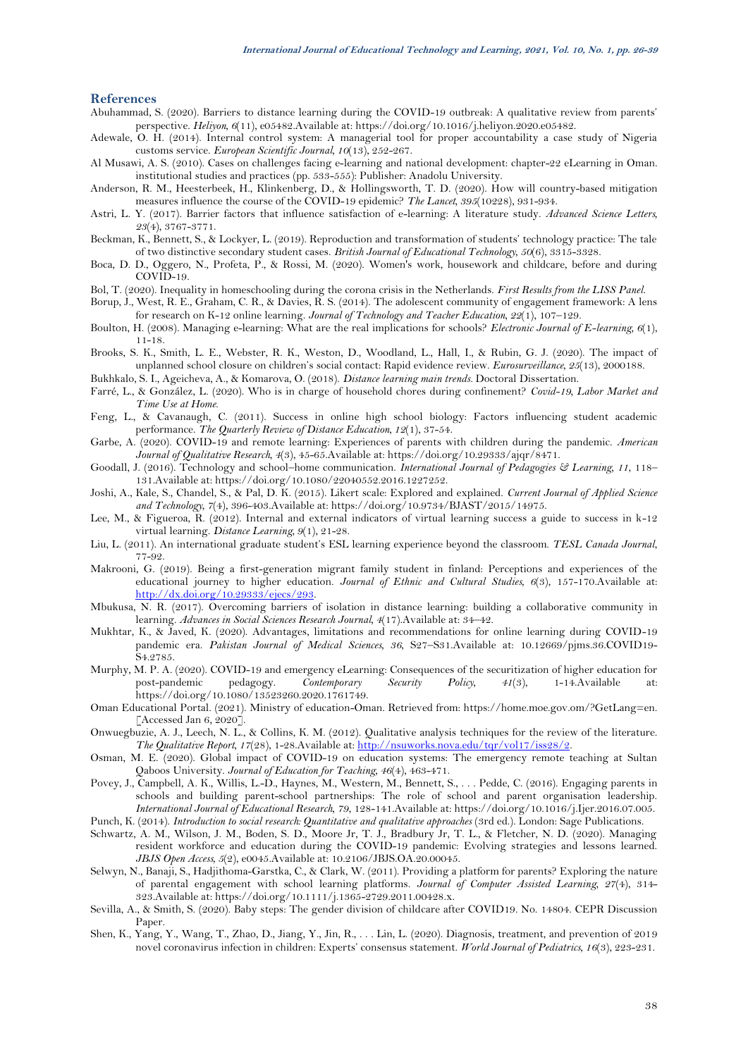# <span id="page-12-28"></span>**References**

- <span id="page-12-4"></span>Abuhammad, S. (2020). Barriers to distance learning during the COVID-19 outbreak: A qualitative review from parents' perspective. *Heliyon, 6*(11), e05482.Available at: https://doi.org/10.1016/j.heliyon.2020.e05482.
- <span id="page-12-29"></span>Adewale, O. H. (2014). Internal control system: A managerial tool for proper accountability a case study of Nigeria customs service. *European Scientific Journal, 10*(13), 252-267.
- <span id="page-12-23"></span>Al Musawi, A. S. (2010). Cases on challenges facing e-learning and national development: chapter-22 eLearning in Oman. institutional studies and practices (pp. 533-555): Publisher: Anadolu University.
- <span id="page-12-8"></span>Anderson, R. M., Heesterbeek, H., Klinkenberg, D., & Hollingsworth, T. D. (2020). How will country-based mitigation measures influence the course of the COVID-19 epidemic? *The Lancet, 395*(10228), 931-934.
- <span id="page-12-30"></span>Astri, L. Y. (2017). Barrier factors that influence satisfaction of e-learning: A literature study. *Advanced Science Letters, 23*(4), 3767-3771.
- <span id="page-12-20"></span>Beckman, K., Bennett, S., & Lockyer, L. (2019). Reproduction and transformation of students' technology practice: The tale of two distinctive secondary student cases. *British Journal of Educational Technology, 50*(6), 3315-3328.
- <span id="page-12-13"></span>Boca, D. D., Oggero, N., Profeta, P., & Rossi, M. (2020). Women's work, housework and childcare, before and during COVID-19.
- <span id="page-12-16"></span>Bol, T. (2020). Inequality in homeschooling during the corona crisis in the Netherlands. *First Results from the LISS Panel*.
- <span id="page-12-9"></span>Borup, J., West, R. E., Graham, C. R., & Davies, R. S. (2014). The adolescent community of engagement framework: A lens for research on K-12 online learning. *Journal of Technology and Teacher Education, 22*(1), 107–129.
- <span id="page-12-18"></span>Boulton, H. (2008). Managing e-learning: What are the real implications for schools? *Electronic Journal of E-learning, 6*(1), 11-18.
- <span id="page-12-1"></span>Brooks, S. K., Smith, L. E., Webster, R. K., Weston, D., Woodland, L., Hall, I., & Rubin, G. J. (2020). The impact of unplanned school closure on children's social contact: Rapid evidence review. *Eurosurveillance, 25*(13), 2000188.
- <span id="page-12-32"></span>Bukhkalo, S. I., Ageicheva, A., & Komarova, O. (2018). *Distance learning main trends.* Doctoral Dissertation.
- <span id="page-12-14"></span>Farré, L., & González, L. (2020). Who is in charge of household chores during confinement? *Covid-19, Labor Market and Time Use at Home*.
- <span id="page-12-10"></span>Feng, L., & Cavanaugh, C. (2011). Success in online high school biology: Factors influencing student academic performance. *The Quarterly Review of Distance Education, 12*(1), 37-54.
- <span id="page-12-5"></span>Garbe, A. (2020). COVID-19 and remote learning: Experiences of parents with children during the pandemic. *American Journal of Qualitative Research, 4*(3), 45-65.Available at: https://doi.org/10.29333/ajqr/8471.
- <span id="page-12-22"></span>Goodall, J. (2016). Technology and school–home communication. *International Journal of Pedagogies & Learning, 11*, 118– 131.Available at: https://doi.org/10.1080/22040552.2016.1227252.
- <span id="page-12-26"></span>Joshi, A., Kale, S., Chandel, S., & Pal, D. K. (2015). Likert scale: Explored and explained. *Current Journal of Applied Science and Technology, 7*(4), 396-403.Available at: https://doi.org/10.9734/BJAST/2015/14975.
- <span id="page-12-11"></span>Lee, M., & Figueroa, R. (2012). Internal and external indicators of virtual learning success a guide to success in k-12 virtual learning. *Distance Learning, 9*(1), 21-28.
- <span id="page-12-17"></span>Liu, L. (2011). An international graduate student's ESL learning experience beyond the classroom. *TESL Canada Journal*, 77-92.
- <span id="page-12-12"></span>Makrooni, G. (2019). Being a first-generation migrant family student in finland: Perceptions and experiences of the educational journey to higher education. *Journal of Ethnic and Cultural Studies, 6*(3), 157-170.Available at: [http://dx.doi.org/10.29333/ejecs/293.](http://dx.doi.org/10.29333/ejecs/293)
- <span id="page-12-31"></span>Mbukusa, N. R. (2017). Overcoming barriers of isolation in distance learning: building a collaborative community in learning. *Advances in Social Sciences Research Journal, 4*(17).Available at: 34–42.
- <span id="page-12-2"></span>Mukhtar, K., & Javed, K. (2020). Advantages, limitations and recommendations for online learning during COVID-19 pandemic era. *Pakistan Journal of Medical Sciences, 36*, S27–S31.Available at: 10.12669/pjms.36.COVID19- S4.2785.
- <span id="page-12-0"></span>Murphy, M. P. A. (2020). COVID-19 and emergency eLearning: Consequences of the securitization of higher education for post-pandemic pedagogy. *Contemporary Security Policy, 41*(3), 1-14.Available at: https://doi.org/10.1080/13523260.2020.1761749.
- <span id="page-12-24"></span>Oman Educational Portal. (2021). Ministry of education-Oman. Retrieved from: https://home.moe.gov.om/?GetLang=en. [Accessed Jan 6, 2020].
- <span id="page-12-27"></span>Onwuegbuzie, A. J., Leech, N. L., & Collins, K. M. (2012). Qualitative analysis techniques for the review of the literature. *The Qualitative Report, 17*(28), 1-28.Available at[: http://nsuworks.nova.edu/tqr/vol17/iss28/2.](http://nsuworks.nova.edu/tqr/vol17/iss28/2)
- <span id="page-12-6"></span>Osman, M. E. (2020). Global impact of COVID-19 on education systems: The emergency remote teaching at Sultan Qaboos University. *Journal of Education for Teaching, 46*(4), 463-471.
- <span id="page-12-21"></span>Povey, J., Campbell, A. K., Willis, L.-D., Haynes, M., Western, M., Bennett, S., . . . Pedde, C. (2016). Engaging parents in schools and building parent-school partnerships: The role of school and parent organisation leadership. *International Journal of Educational Research, 79*, 128-141.Available at: https://doi.org/10.1016/j.Ijer.2016.07.005. Punch, K. (2014). *Introduction to social research: Quantitative and qualitative approaches* (3rd ed.). London: Sage Publications.
- <span id="page-12-25"></span>
- <span id="page-12-7"></span>Schwartz, A. M., Wilson, J. M., Boden, S. D., Moore Jr, T. J., Bradbury Jr, T. L., & Fletcher, N. D. (2020). Managing resident workforce and education during the COVID-19 pandemic: Evolving strategies and lessons learned. *JBJS Open Access, 5*(2), e0045.Available at: 10.2106/JBJS.OA.20.00045.
- <span id="page-12-19"></span>Selwyn, N., Banaji, S., Hadjithoma-Garstka, C., & Clark, W. (2011). Providing a platform for parents? Exploring the nature of parental engagement with school learning platforms. *Journal of Computer Assisted Learning, 27*(4), 314- 323.Available at: https://doi.org/10.1111/j.1365-2729.2011.00428.x.
- <span id="page-12-15"></span>Sevilla, A., & Smith, S. (2020). Baby steps: The gender division of childcare after COVID19. No. 14804. CEPR Discussion Paper.
- <span id="page-12-3"></span>Shen, K., Yang, Y., Wang, T., Zhao, D., Jiang, Y., Jin, R., . . . Lin, L. (2020). Diagnosis, treatment, and prevention of 2019 novel coronavirus infection in children: Experts' consensus statement. *World Journal of Pediatrics, 16*(3), 223-231.